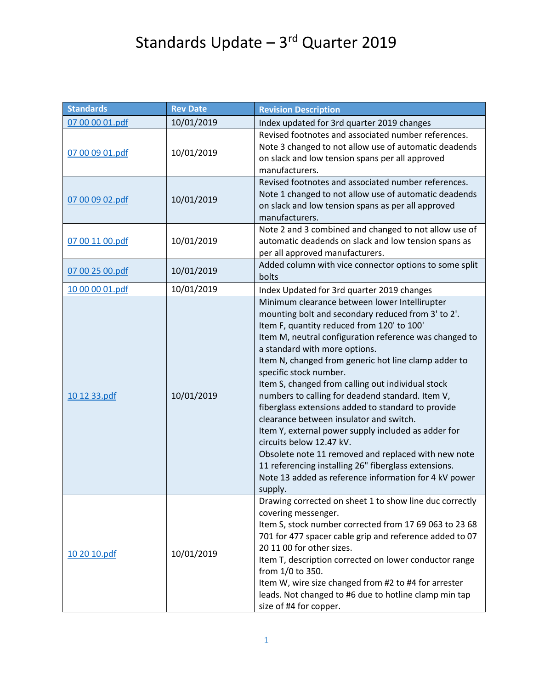## Standards Update – 3rd Quarter 2019

| <b>Standards</b> | <b>Rev Date</b> | <b>Revision Description</b>                                                                                                                                                                                                                                                                                                                                                                                                                                                                                                                                                                                                                                                                                                                                                                                    |
|------------------|-----------------|----------------------------------------------------------------------------------------------------------------------------------------------------------------------------------------------------------------------------------------------------------------------------------------------------------------------------------------------------------------------------------------------------------------------------------------------------------------------------------------------------------------------------------------------------------------------------------------------------------------------------------------------------------------------------------------------------------------------------------------------------------------------------------------------------------------|
| 07 00 00 01.pdf  | 10/01/2019      | Index updated for 3rd quarter 2019 changes                                                                                                                                                                                                                                                                                                                                                                                                                                                                                                                                                                                                                                                                                                                                                                     |
| 07 00 09 01.pdf  | 10/01/2019      | Revised footnotes and associated number references.<br>Note 3 changed to not allow use of automatic deadends<br>on slack and low tension spans per all approved<br>manufacturers.                                                                                                                                                                                                                                                                                                                                                                                                                                                                                                                                                                                                                              |
| 07 00 09 02.pdf  | 10/01/2019      | Revised footnotes and associated number references.<br>Note 1 changed to not allow use of automatic deadends<br>on slack and low tension spans as per all approved<br>manufacturers.                                                                                                                                                                                                                                                                                                                                                                                                                                                                                                                                                                                                                           |
| 07 00 11 00.pdf  | 10/01/2019      | Note 2 and 3 combined and changed to not allow use of<br>automatic deadends on slack and low tension spans as<br>per all approved manufacturers.                                                                                                                                                                                                                                                                                                                                                                                                                                                                                                                                                                                                                                                               |
| 07 00 25 00.pdf  | 10/01/2019      | Added column with vice connector options to some split<br>bolts                                                                                                                                                                                                                                                                                                                                                                                                                                                                                                                                                                                                                                                                                                                                                |
| 10 00 00 01.pdf  | 10/01/2019      | Index Updated for 3rd quarter 2019 changes                                                                                                                                                                                                                                                                                                                                                                                                                                                                                                                                                                                                                                                                                                                                                                     |
| 10 12 33.pdf     | 10/01/2019      | Minimum clearance between lower Intellirupter<br>mounting bolt and secondary reduced from 3' to 2'.<br>Item F, quantity reduced from 120' to 100'<br>Item M, neutral configuration reference was changed to<br>a standard with more options.<br>Item N, changed from generic hot line clamp adder to<br>specific stock number.<br>Item S, changed from calling out individual stock<br>numbers to calling for deadend standard. Item V,<br>fiberglass extensions added to standard to provide<br>clearance between insulator and switch.<br>Item Y, external power supply included as adder for<br>circuits below 12.47 kV.<br>Obsolete note 11 removed and replaced with new note<br>11 referencing installing 26" fiberglass extensions.<br>Note 13 added as reference information for 4 kV power<br>supply. |
| 10 20 10.pdf     | 10/01/2019      | Drawing corrected on sheet 1 to show line duc correctly<br>covering messenger.<br>Item S, stock number corrected from 17 69 063 to 23 68<br>701 for 477 spacer cable grip and reference added to 07<br>20 11 00 for other sizes.<br>Item T, description corrected on lower conductor range<br>from 1/0 to 350.<br>Item W, wire size changed from #2 to #4 for arrester<br>leads. Not changed to #6 due to hotline clamp min tap<br>size of #4 for copper.                                                                                                                                                                                                                                                                                                                                                      |